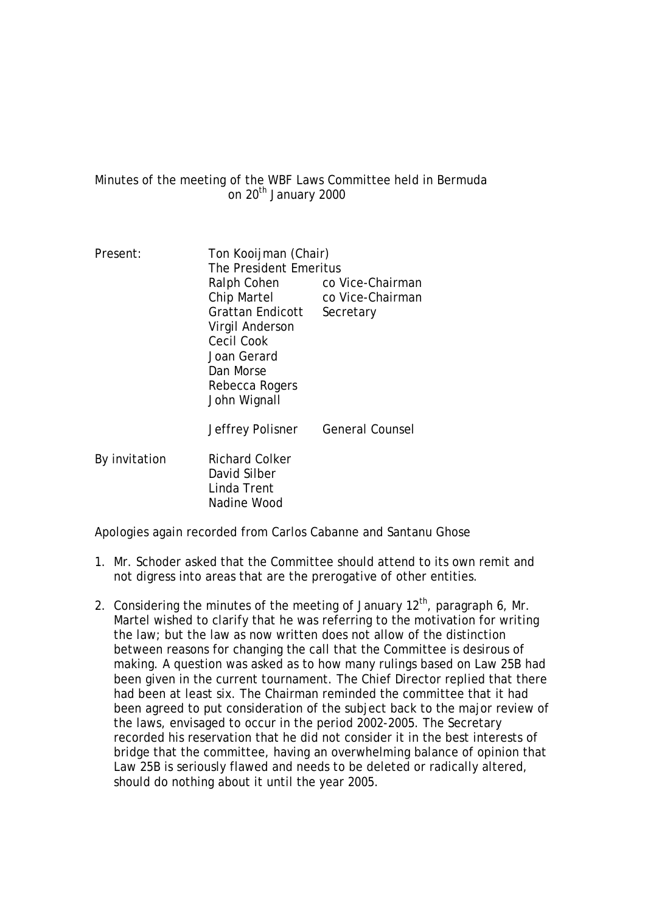Minutes of the meeting of the WBF Laws Committee held in Bermuda on  $20<sup>th</sup>$  January 2000

| Ralph Cohen                                                         | co Vice-Chairman                                               |  |
|---------------------------------------------------------------------|----------------------------------------------------------------|--|
| Chip Martel                                                         | co Vice-Chairman                                               |  |
| Grattan Endicott                                                    | Secretary                                                      |  |
| Virgil Anderson                                                     |                                                                |  |
| Cecil Cook                                                          |                                                                |  |
| Joan Gerard                                                         |                                                                |  |
| Dan Morse                                                           |                                                                |  |
| Rebecca Rogers                                                      |                                                                |  |
|                                                                     |                                                                |  |
| Jeffrey Polisner                                                    | <b>General Counsel</b>                                         |  |
| <b>Richard Colker</b><br>David Silber<br>Linda Trent<br>Nadine Wood |                                                                |  |
|                                                                     | Ton Kooijman (Chair)<br>The President Emeritus<br>John Wignall |  |

Apologies again recorded from Carlos Cabanne and Santanu Ghose

- 1. Mr. Schoder asked that the Committee should attend to its own remit and not digress into areas that are the prerogative of other entities.
- 2. Considering the minutes of the meeting of January  $12<sup>th</sup>$ , paragraph 6, Mr. Martel wished to clarify that he was referring to the motivation for writing the law; but the law as now written does not allow of the distinction between reasons for changing the call that the Committee is desirous of making. A question was asked as to how many rulings based on Law 25B had been given in the current tournament. The Chief Director replied that there had been at least six. The Chairman reminded the committee that it had been agreed to put consideration of the subject back to the major review of the laws, envisaged to occur in the period 2002-2005. The Secretary recorded his reservation that he did not consider it in the best interests of bridge that the committee, having an overwhelming balance of opinion that Law 25B is seriously flawed and needs to be deleted or radically altered, should do nothing about it until the year 2005.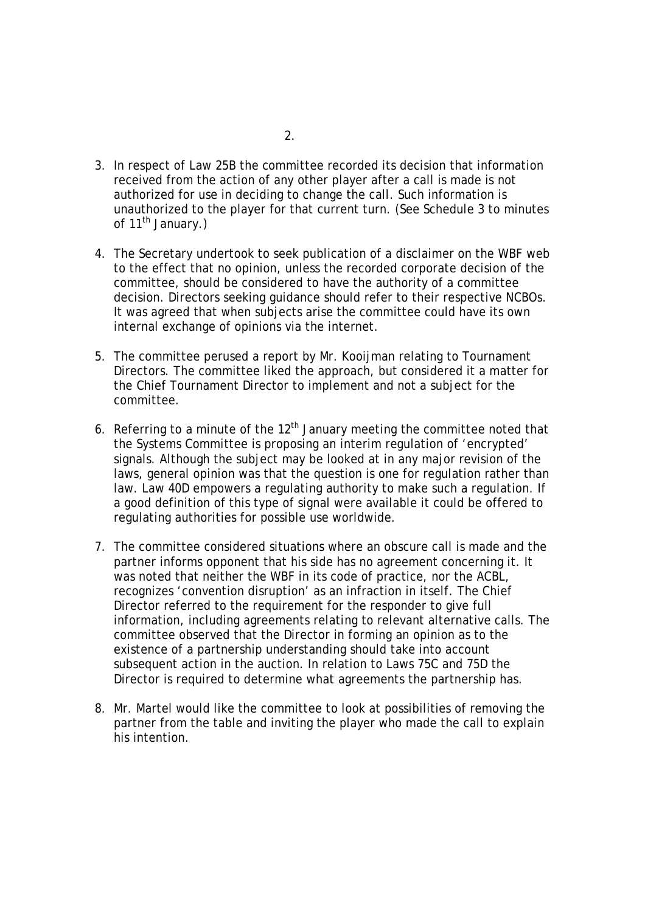- 3. In respect of Law 25B the committee recorded its decision that information received from the action of any other player after a call is made is not authorized for use in deciding to change the call. Such information is unauthorized to the player for that current turn. (See Schedule 3 to minutes of  $11^{th}$  January.)
- 4. The Secretary undertook to seek publication of a disclaimer on the WBF web to the effect that no opinion, unless the recorded corporate decision of the committee, should be considered to have the authority of a committee decision. Directors seeking guidance should refer to their respective NCBOs. It was agreed that when subjects arise the committee could have its own internal exchange of opinions via the internet.
- 5. The committee perused a report by Mr. Kooijman relating to Tournament Directors. The committee liked the approach, but considered it a matter for the Chief Tournament Director to implement and not a subject for the committee.
- 6. Referring to a minute of the  $12<sup>th</sup>$  January meeting the committee noted that the Systems Committee is proposing an interim regulation of 'encrypted' signals. Although the subject may be looked at in any major revision of the laws, general opinion was that the question is one for regulation rather than law. Law 40D empowers a regulating authority to make such a regulation. If a good definition of this type of signal were available it could be offered to regulating authorities for possible use worldwide.
- 7. The committee considered situations where an obscure call is made and the partner informs opponent that his side has no agreement concerning it. It was noted that neither the WBF in its code of practice, nor the ACBL, recognizes 'convention disruption' as an infraction in itself. The Chief Director referred to the requirement for the responder to give full information, including agreements relating to relevant alternative calls. The committee observed that the Director in forming an opinion as to the existence of a partnership understanding should take into account subsequent action in the auction. In relation to Laws 75C and 75D the Director is required to determine what agreements the partnership has.
- 8. Mr. Martel would like the committee to look at possibilities of removing the partner from the table and inviting the player who made the call to explain his intention.